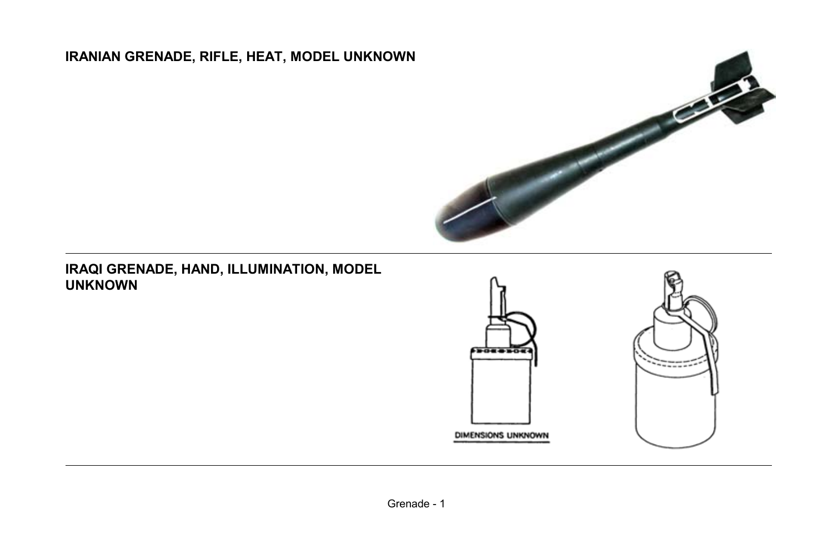# **IRANIAN GRENADE, RIFLE, HEAT, MODEL UNKNOWN**



#### **IRAQI GRENADE, HAND, ILLUMINATION, MODEL UNKNOWN**



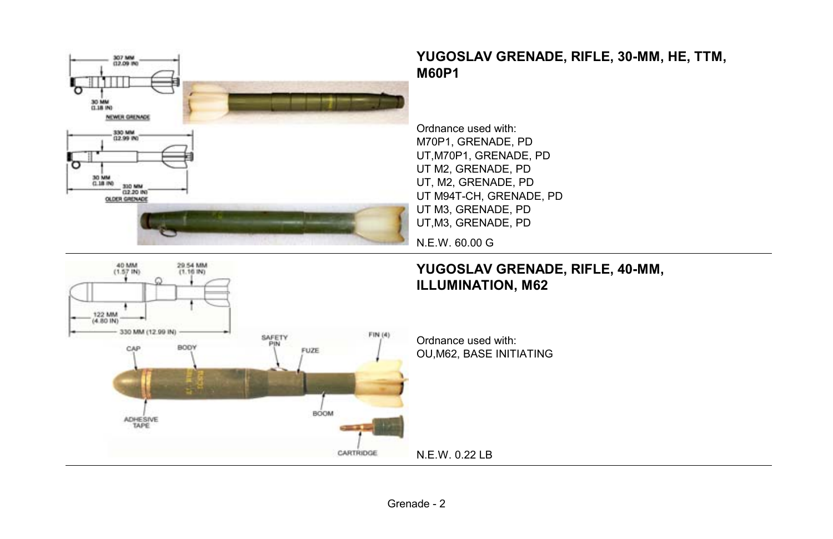



# **YUGOSLAV GRENADE, RIFLE, 30-MM, HE, TTM,**

UT,M70P1, GRENADE, PD UT M94T-CH, GRENADE, PD

# **YUGOSLAV GRENADE, RIFLE, 40-MM,**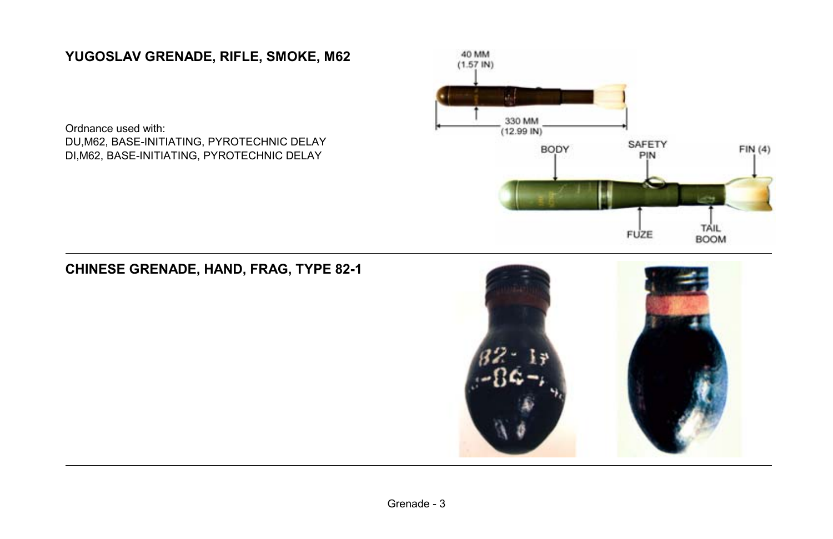## **YUGOSLAV GRENADE, RIFLE, SMOKE, M62**

Ordnance used with: DU,M62, BASE-INITIATING, PYROTECHNIC DELAY DI,M62, BASE-INITIATING, PYROTECHNIC DELAY



## **CHINESE GRENADE, HAND, FRAG, TYPE 82-1**

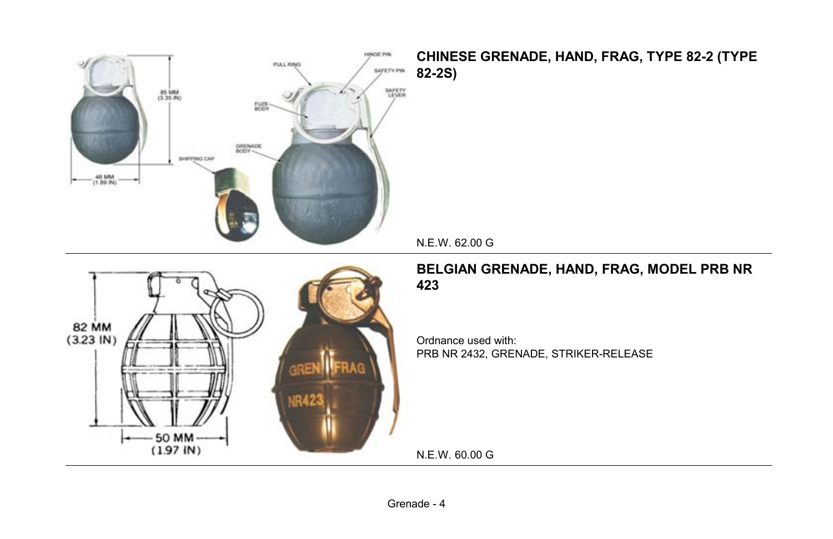

#### **CHINESE GRENADE, HAND, FRAG, TYPE 82-2 (TYPE 82-2S)**

N.E.W. 62.00 G



#### **BELGIAN GRENADE, HAND, FRAG, MODEL PRB NR 423**

Ordnance used with: PRB NR 2432, GRENADE, STRIKER-RELEASE

N.E.W. 60.00 G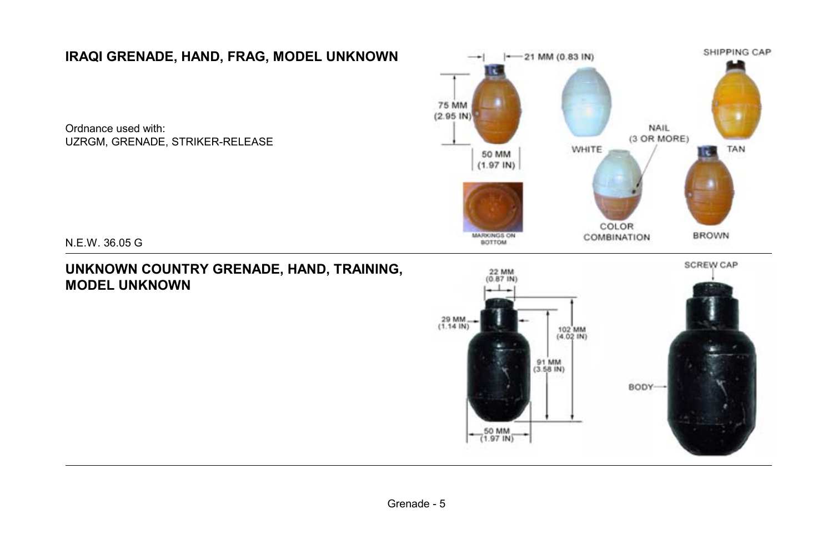## **IRAQI GRENADE, HAND, FRAG, MODEL UNKNOWN**

Ordnance used with: UZRGM, GRENADE, STRIKER-RELEASE



N.E.W. 36.05 G

#### **UNKNOWN COUNTRY GRENADE, HAND, TRAINING, MODEL UNKNOWN**

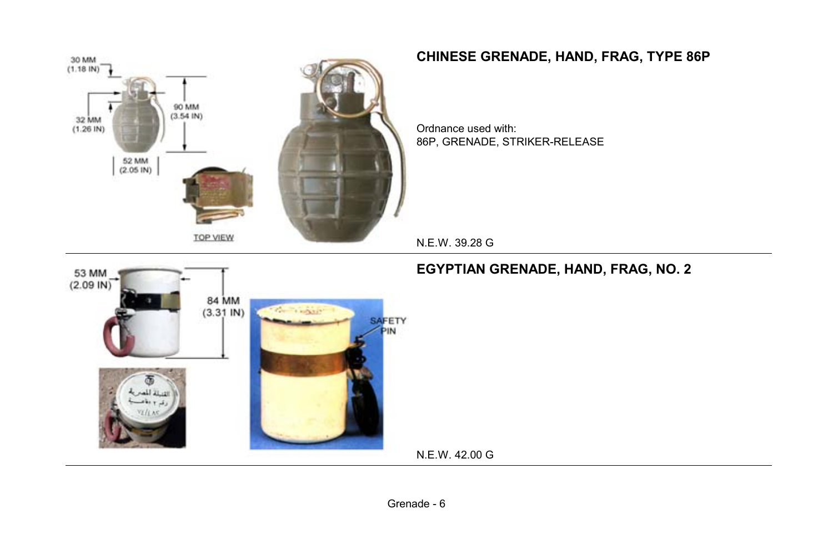

## **CHINESE GRENADE, HAND, FRAG, TYPE 86P**

Ordnance used with: 86P, GRENADE, STRIKER-RELEASE

N.E.W. 39.28 G



### **EGYPTIAN GRENADE, HAND, FRAG, NO. 2**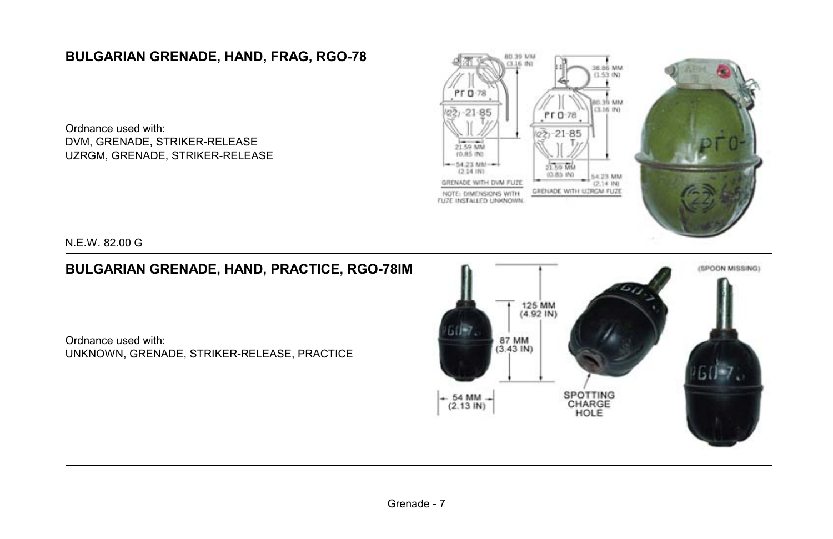## **BULGARIAN GRENADE, HAND, FRAG, RGO-78**

Ordnance used with: DVM, GRENADE, STRIKER-RELEASE UZRGM, GRENADE, STRIKER-RELEASE



N.E.W. 82.00 G

## **BULGARIAN GRENADE, HAND, PRACTICE, RGO-78IM**

Ordnance used with: UNKNOWN, GRENADE, STRIKER-RELEASE, PRACTICE

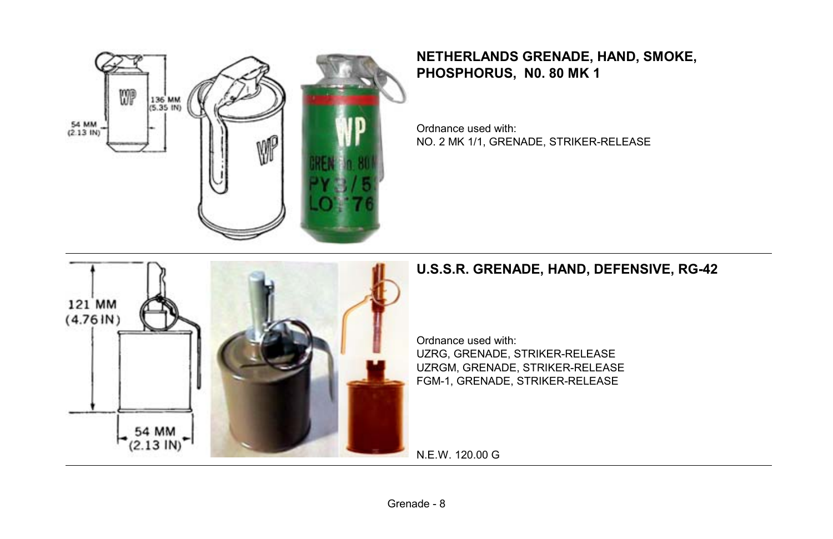

**NETHERLANDS GRENADE, HAND, SMOKE, PHOSPHORUS, N0. 80 MK 1**

Ordnance used with: NO. 2 MK 1/1, GRENADE, STRIKER-RELEASE



#### **U.S.S.R. GRENADE, HAND, DEFENSIVE, RG-42**

Ordnance used with: UZRG, GRENADE, STRIKER-RELEASE UZRGM, GRENADE, STRIKER-RELEASE FGM-1, GRENADE, STRIKER-RELEASE

N.E.W. 120.00 G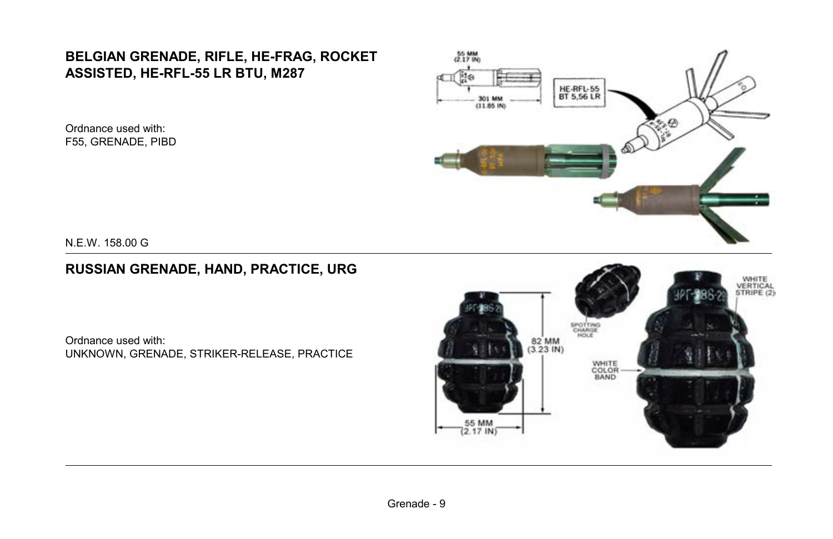## **BELGIAN GRENADE, RIFLE, HE-FRAG, ROCKET ASSISTED, HE-RFL-55 LR BTU, M287**

Ordnance used with: F55, GRENADE, PIBD



N.E.W. 158.00 G

### **RUSSIAN GRENADE, HAND, PRACTICE, URG**

Ordnance used with: UNKNOWN, GRENADE, STRIKER-RELEASE, PRACTICE

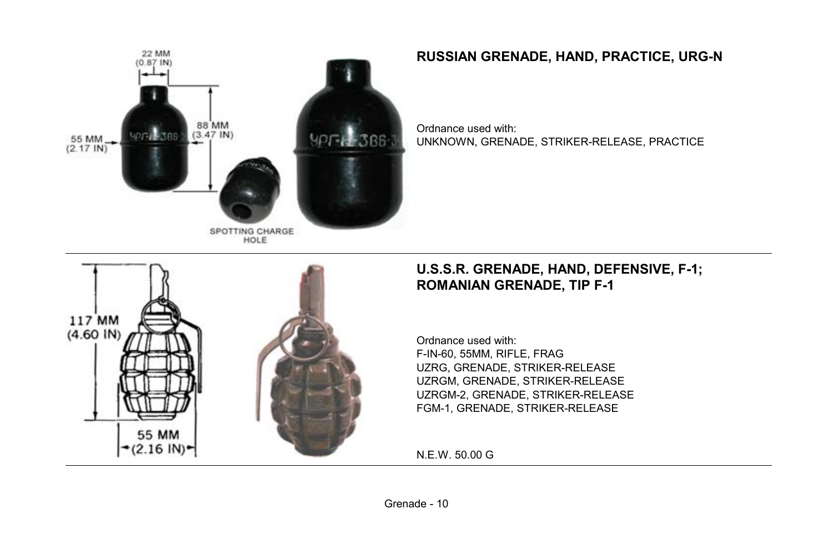

## **RUSSIAN GRENADE, HAND, PRACTICE, URG-N**

Ordnance used with: UNKNOWN, GRENADE, STRIKER-RELEASE, PRACTICE



#### **U.S.S.R. GRENADE, HAND, DEFENSIVE, F-1; ROMANIAN GRENADE, TIP F-1**

Ordnance used with: F-IN-60, 55MM, RIFLE, FRAG UZRG, GRENADE, STRIKER-RELEASE UZRGM, GRENADE, STRIKER-RELEASE UZRGM-2, GRENADE, STRIKER-RELEASE FGM-1, GRENADE, STRIKER-RELEASE

N.E.W. 50.00 G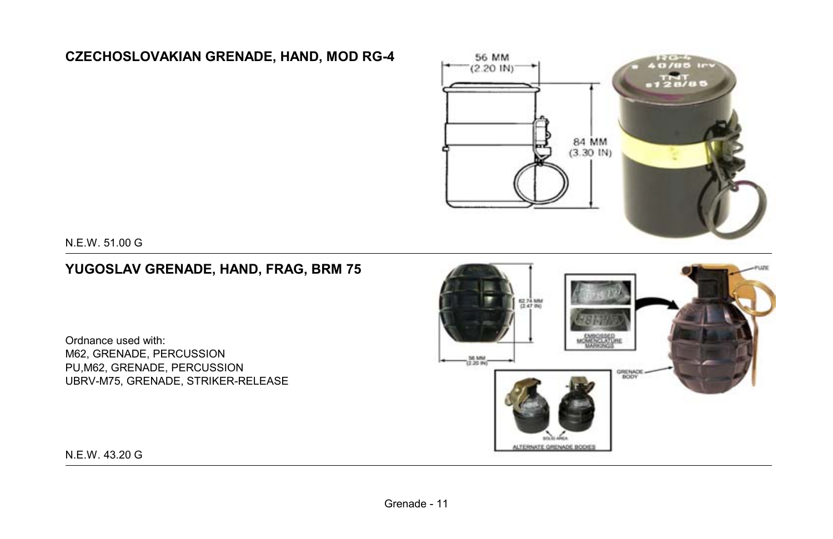## **CZECHOSLOVAKIAN GRENADE, HAND, MOD RG-4**



N.E.W. 51.00 G

### **YUGOSLAV GRENADE, HAND, FRAG, BRM 75**

Ordnance used with: M62, GRENADE, PERCUSSION PU,M62, GRENADE, PERCUSSION UBRV-M75, GRENADE, STRIKER-RELEASE



N.E.W. 43.20 G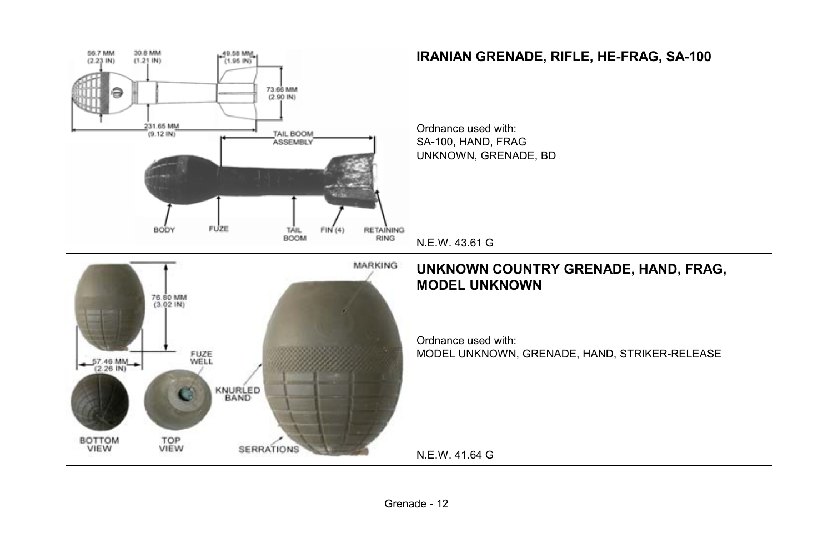

Grenade - 12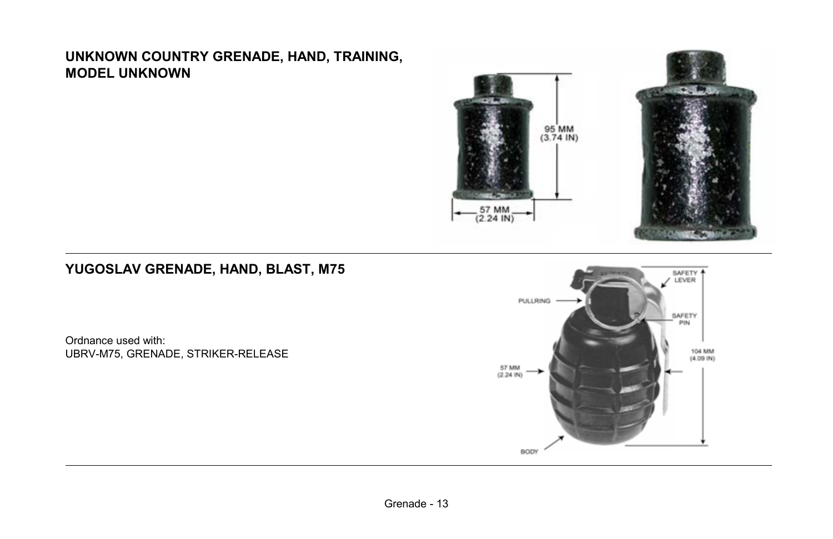#### **UNKNOWN COUNTRY GRENADE, HAND, TRAINING, MODEL UNKNOWN**



## **YUGOSLAV GRENADE, HAND, BLAST, M75**

Ordnance used with: UBRV-M75, GRENADE, STRIKER-RELEASE

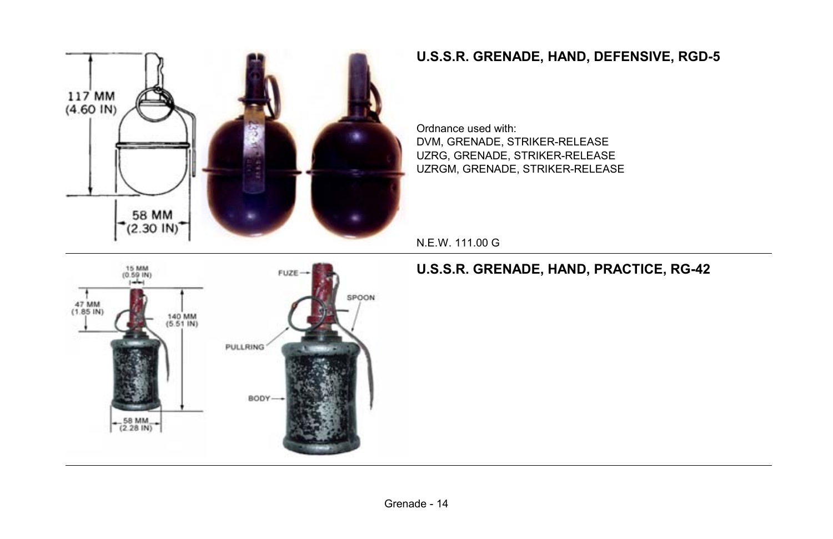

## **U.S.S.R. GRENADE, HAND, DEFENSIVE, RGD-5**

Ordnance used with: DVM, GRENADE, STRIKER-RELEASE UZRG, GRENADE, STRIKER-RELEASE UZRGM, GRENADE, STRIKER-RELEASE

N.E.W. 111.00 G



**U.S.S.R. GRENADE, HAND, PRACTICE, RG-42**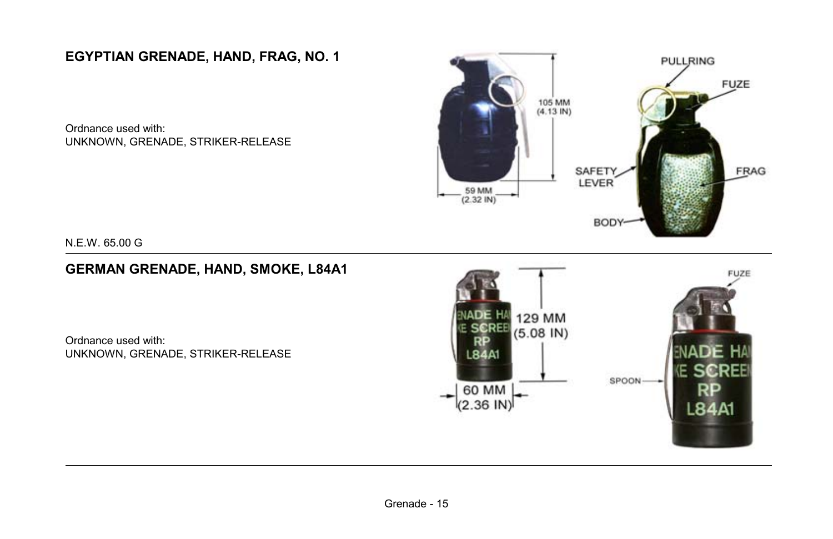**EGYPTIAN GRENADE, HAND, FRAG, NO. 1**

Ordnance used with: UNKNOWN, GRENADE, STRIKER-RELEASE



N.E.W. 65.00 G

#### **GERMAN GRENADE, HAND, SMOKE, L84A1**

Ordnance used with: UNKNOWN, GRENADE, STRIKER-RELEASE

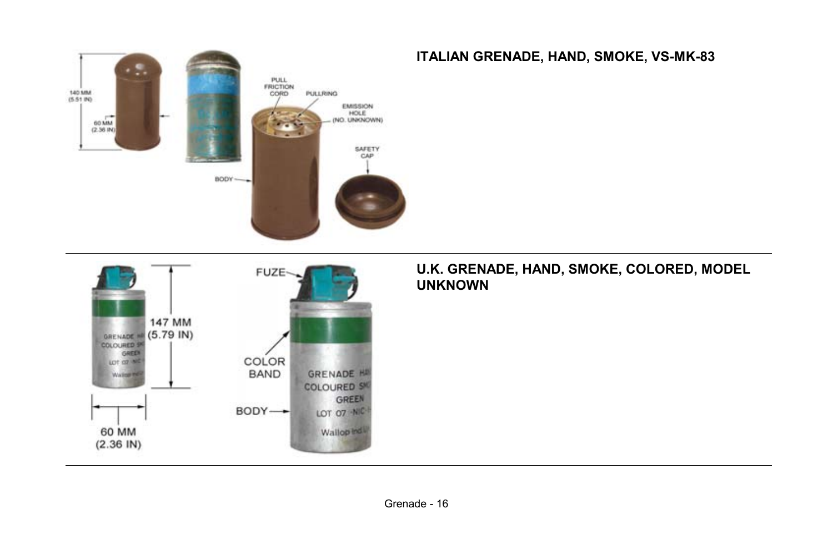



#### **ITALIAN GRENADE, HAND, SMOKE, VS-MK-83**

#### **U.K. GRENADE, HAND, SMOKE, COLORED, MODEL UNKNOWN**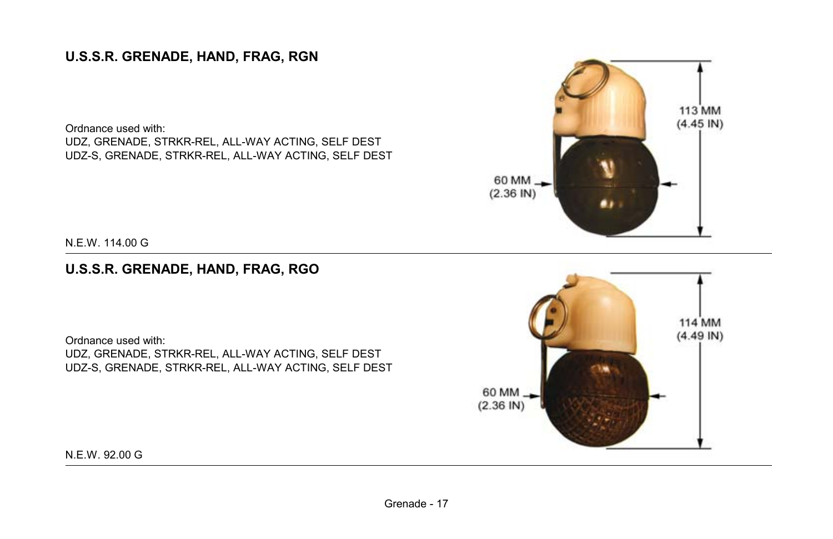## **U.S.S.R. GRENADE, HAND, FRAG, RGN**

Ordnance used with: UDZ, GRENADE, STRKR-REL, ALL-WAY ACTING, SELF DEST UDZ-S, GRENADE, STRKR-REL, ALL-WAY ACTING, SELF DEST



N.E.W. 114.00 G

### **U.S.S.R. GRENADE, HAND, FRAG, RGO**

Ordnance used with: UDZ, GRENADE, STRKR-REL, ALL-WAY ACTING, SELF DEST UDZ-S, GRENADE, STRKR-REL, ALL-WAY ACTING, SELF DEST



N.E.W. 92.00 G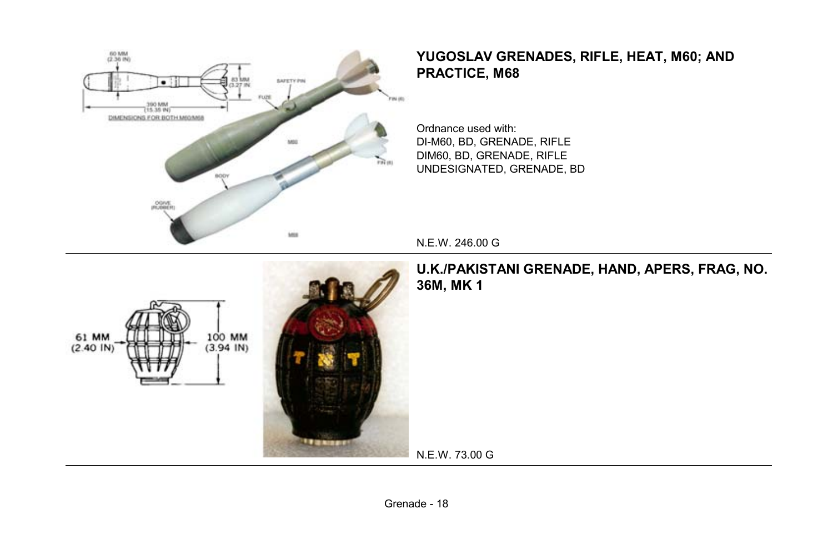

### **YUGOSLAV GRENADES, RIFLE, HEAT, M60; AND PRACTICE, M68**

Ordnance used with: DI-M60, BD, GRENADE, RIFLE DIM60, BD, GRENADE, RIFLE UNDESIGNATED, GRENADE, BD

N.E.W. 246.00 G



**U.K./PAKISTANI GRENADE, HAND, APERS, FRAG, NO. 36M, MK 1**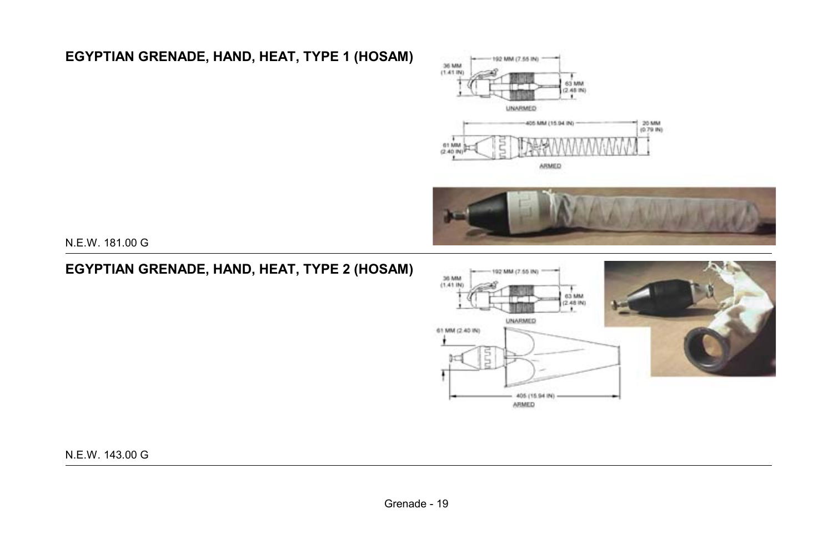## **EGYPTIAN GRENADE, HAND, HEAT, TYPE 1 (HOSAM)**





N.E.W. 181.00 G

### **EGYPTIAN GRENADE, HAND, HEAT, TYPE 2 (HOSAM)**



N.E.W. 143.00 G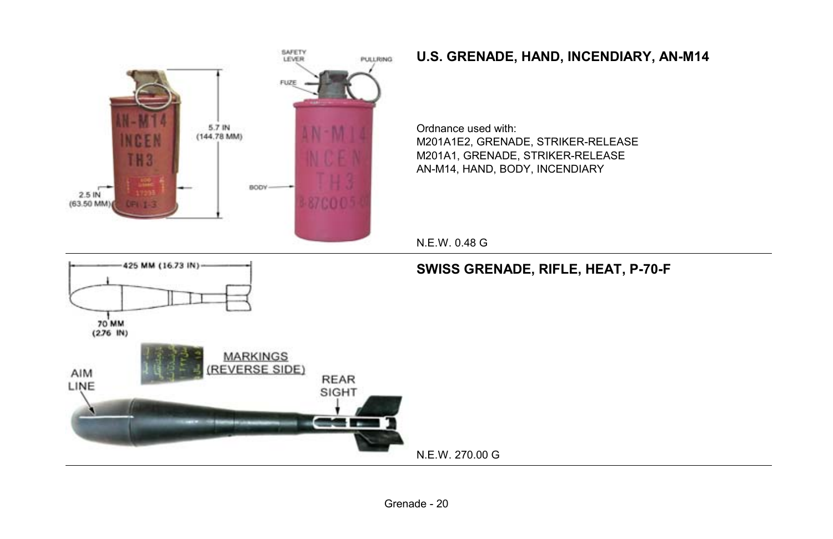

## **U.S. GRENADE, HAND, INCENDIARY, AN-M14**

Ordnance used with: M201A1E2, GRENADE, STRIKER-RELEASE M201A1, GRENADE, STRIKER-RELEASE AN-M14, HAND, BODY, INCENDIARY

Grenade - 20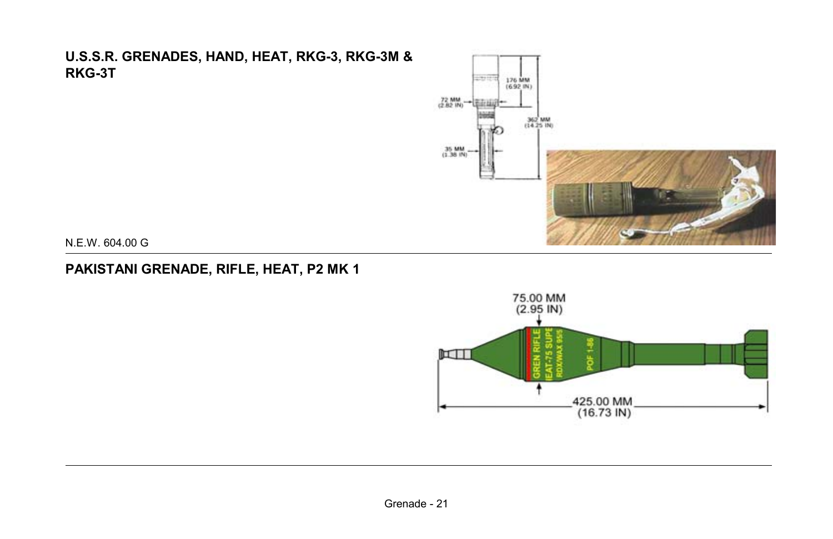#### **U.S.S.R. GRENADES, HAND, HEAT, RKG-3, RKG-3M & RKG-3T**



N.E.W. 604.00 G

## **PAKISTANI GRENADE, RIFLE, HEAT, P2 MK 1**

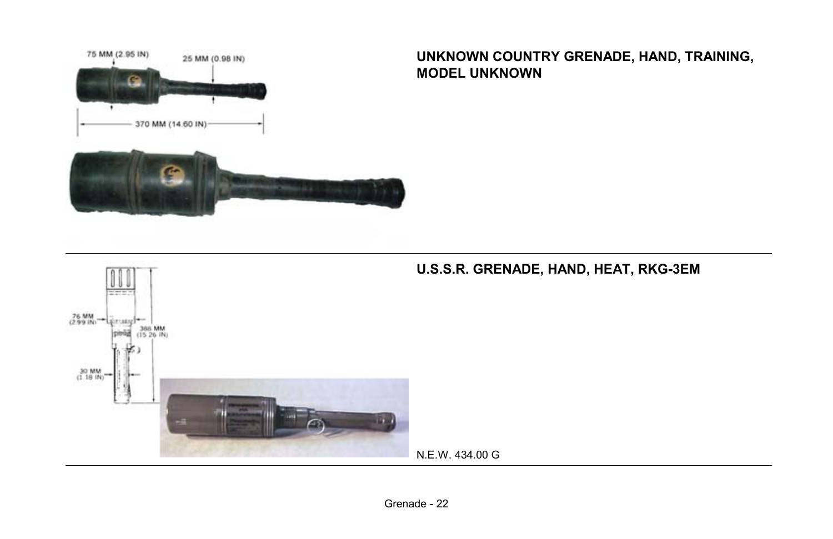

#### **UNKNOWN COUNTRY GRENADE, HAND, TRAINING, MODEL UNKNOWN**

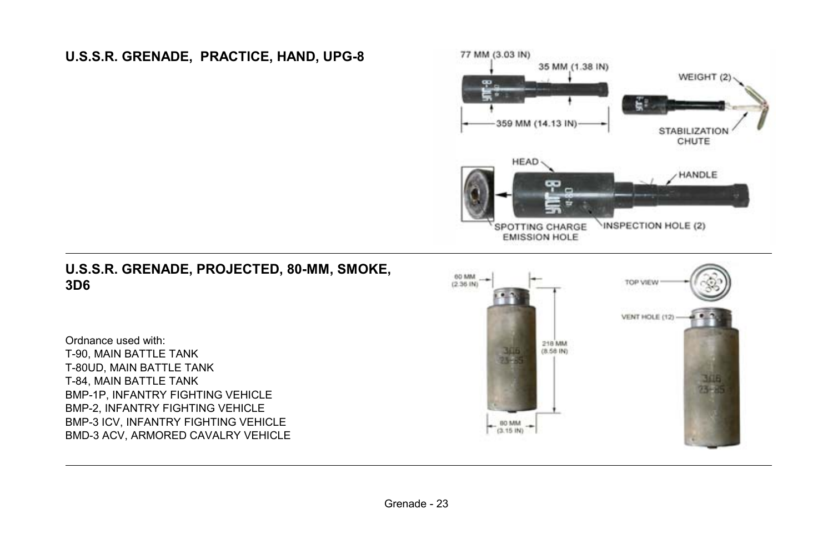## **U.S.S.R. GRENADE, PRACTICE, HAND, UPG-8**



#### **U.S.S.R. GRENADE, PROJECTED, 80-MM, SMOKE, 3D6**

Ordnance used with: T-90, MAIN BATTLE TANK T-80UD, MAIN BATTLE TANK T-84, MAIN BATTLE TANK BMP-1P, INFANTRY FIGHTING VEHICLE BMP-2, INFANTRY FIGHTING VEHICLE BMP-3 ICV, INFANTRY FIGHTING VEHICLE BMD-3 ACV, ARMORED CAVALRY VEHICLE

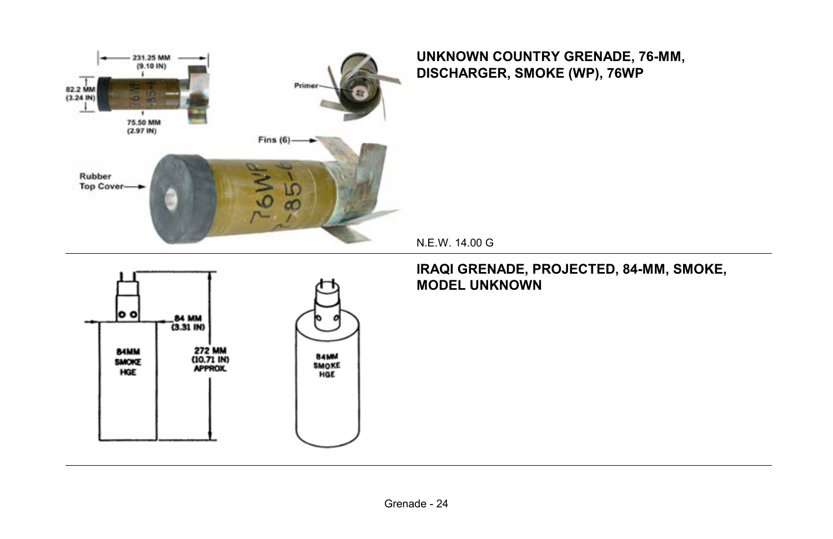

#### **UNKNOWN COUNTRY GRENADE, 76-MM, DISCHARGER, SMOKE (WP), 76WP**

N.E.W. 14.00 G



#### **IRAQI GRENADE, PROJECTED, 84-MM, SMOKE, MODEL UNKNOWN**